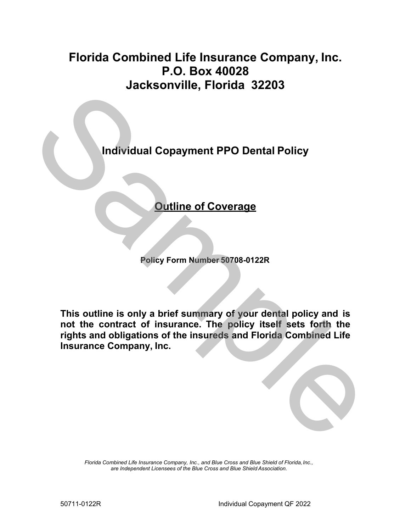# **P.O. Box 40028 Florida Combined Life Insurance Company, Inc. Jacksonville, Florida 32203**

**Individual Copayment PPO Dental Policy** 

## **Outline of Coverage**

**Policy Form Number 50708-0122R** 

 **This outline is only a brief summary of your dental policy and is not the contract of insurance. The policy itself sets forth the rights and obligations of the insureds and Florida Combined Life Insurance Company, Inc.**  Machine, Fisheral Constrainers and Policy<br>
Machine of Coverage<br>
Policy Form Number 50708-0122R<br>
This outline is only a brief summary of your dental policy and is<br>
not the contract of insurance. The policy itself sets forth

> *Florida Combined Life Insurance Company, Inc., and Blue Cross and Blue Shield of Florida, Inc., are Independent Licensees of the Blue Cross and Blue Shield Association.*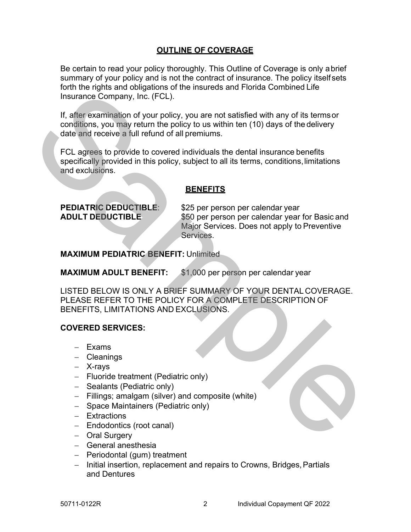### **OUTLINE OF COVERAGE**

 Be certain to read your policy thoroughly. This Outline of Coverage is only abrief Insurance Company, Inc. (FCL). summary of your policy and is not the contract of insurance. The policy itself sets forth the rights and obligations of the insureds and Florida Combined Life

 If, after examination of your policy, you are not satisfied with any of its termsor date and receive a full refund of all premiums. conditions, you may return the policy to us within ten (10) days of the delivery

 specifically provided in this policy, subject to all its terms, conditions,limitations and exclusions. FCL agrees to provide to covered individuals the dental insurance benefits

### **BENEFITS**

**PEDIATRIC DEDUCTIBLE:** \$25 per person per calendar year **ADULT DEDUCTIBLE** \$50 per person per calendar year for Basic and Major Services. Does not apply to Preventive Services.

**MAXIMUM PEDIATRIC BENEFIT:** Unlimited

**MAXIMUM ADULT BENEFIT:** \$1,000 per person per calendar year

LISTED BELOW IS ONLY A BRIEF SUMMARY OF YOUR DENTAL COVERAGE. PLEASE REFER TO THE POLICY FOR A COMPLETE DESCRIPTION OF BENEFITS, LIMITATIONS AND EXCLUSIONS. iou une riginal and voligations of the insulation of the insulation of the texninalism of your policy, you are not satisfied with any of its terms conditions, you ment of a light end in the policy to us within then (10) da

### **COVERED SERVICES:**

- − Exams
- − Cleanings
- − X-rays
- − Fluoride treatment (Pediatric only)
- − Sealants (Pediatric only)
- − Fillings; amalgam (silver) and composite (white)
- − Space Maintainers (Pediatric only)
- − Extractions
- − Endodontics (root canal)
- − Oral Surgery
- − General anesthesia
- − Periodontal (gum) treatment
- and Dentures − Initial insertion, replacement and repairs to Crowns, Bridges,Partials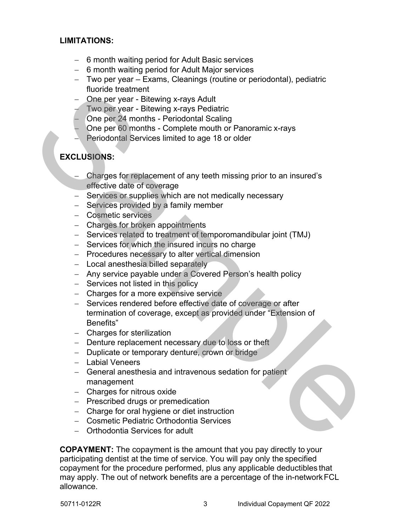### **LIMITATIONS:**

- − 6 month waiting period for Adult Basic services
- − 6 month waiting period for Adult Major services
- − Two per year Exams, Cleanings (routine or periodontal), pediatric fluoride treatment
- − One per year Bitewing x-rays Adult
- − Two per year Bitewing x-rays Pediatric
- − One per 24 months Periodontal Scaling
- − One per 60 months Complete mouth or Panoramic x-rays
- − Periodontal Services limited to age 18 or older

### **EXCLUSIONS:**

- effective date of coverage − Charges for replacement of any teeth missing prior to an insured's
- − Services or supplies which are not medically necessary
- − Services provided by a family member
- − Cosmetic services
- − Charges for broken appointments
- − Services related to treatment of temporomandibular joint (TMJ)
- − Services for which the insured incurs no charge
- − Procedures necessary to alter vertical dimension
- − Local anesthesia billed separately
- − Any service payable under a Covered Person's health policy
- − Services not listed in this policy
- − Charges for a more expensive service
- − Services rendered before effective date of coverage or after termination of coverage, except as provided under "Extension of Benefits" Therefore teaching the state than the state of the control except the control control control of the periodic one periodic controls. Periodical Services limited to age 18 or older the Periodic Services limited to age 18 or
	- − Charges for sterilization
	- − Denture replacement necessary due to loss or theft
	- − Duplicate or temporary denture, crown or bridge
	- − Labial Veneers
	- − General anesthesia and intravenous sedation for patient management
	- − Charges for nitrous oxide
	- − Prescribed drugs or premedication
	- − Charge for oral hygiene or diet instruction
	- − Cosmetic Pediatric Orthodontia Services
	- − Orthodontia Services for adult

 **COPAYMENT:** The copayment is the amount that you pay directly to your participating dentist at the time of service. You will pay only the specified copayment for the procedure performed, plus any applicable deductibles that may apply. The out of network benefits are a percentage of the in-networkFCL allowance.